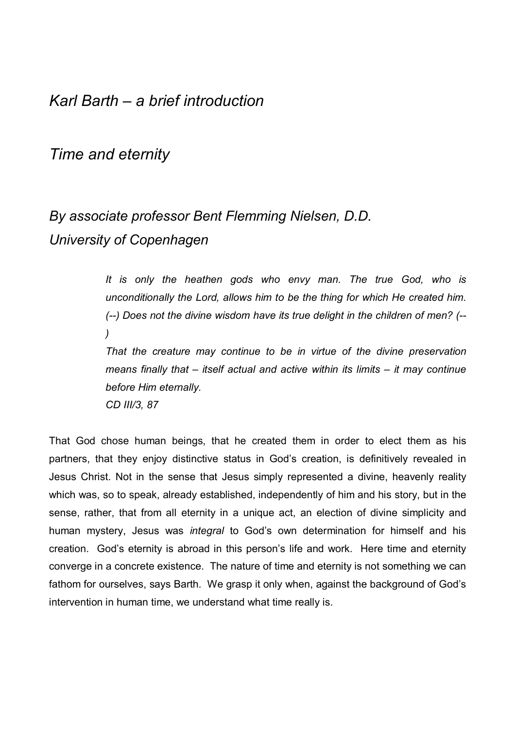# *Karl Barth – a brief introduction*

# *Time and eternity*

# *By associate professor Bent Flemming Nielsen, D.D. University of Copenhagen*

*It is only the heathen gods who envy man. The true God, who is unconditionally the Lord, allows him to be the thing for which He created him. (--) Does not the divine wisdom have its true delight in the children of men? (-- )* 

*That the creature may continue to be in virtue of the divine preservation means finally that – itself actual and active within its limits – it may continue before Him eternally.* 

*CD III/3, 87* 

That God chose human beings, that he created them in order to elect them as his partners, that they enjoy distinctive status in God's creation, is definitively revealed in Jesus Christ. Not in the sense that Jesus simply represented a divine, heavenly reality which was, so to speak, already established, independently of him and his story, but in the sense, rather, that from all eternity in a unique act, an election of divine simplicity and human mystery, Jesus was *integral* to Godís own determination for himself and his creation. God's eternity is abroad in this person's life and work. Here time and eternity converge in a concrete existence. The nature of time and eternity is not something we can fathom for ourselves, says Barth. We grasp it only when, against the background of God's intervention in human time, we understand what time really is.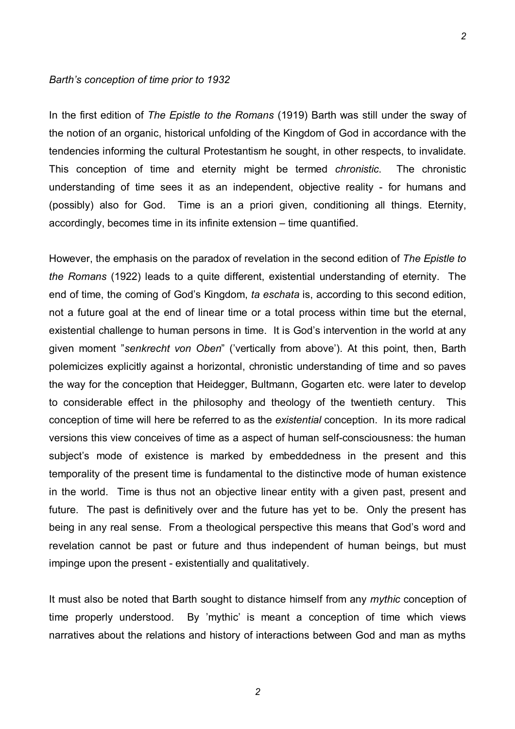#### *Barthís conception of time prior to 1932*

In the first edition of *The Epistle to the Romans* (1919) Barth was still under the sway of the notion of an organic, historical unfolding of the Kingdom of God in accordance with the tendencies informing the cultural Protestantism he sought, in other respects, to invalidate. This conception of time and eternity might be termed *chronistic*. The chronistic understanding of time sees it as an independent, objective reality - for humans and (possibly) also for God. Time is an a priori given, conditioning all things. Eternity, accordingly, becomes time in its infinite extension – time quantified.

However, the emphasis on the paradox of revelation in the second edition of *The Epistle to the Romans* (1922) leads to a quite different, existential understanding of eternity. The end of time, the coming of God's Kingdom, *ta eschata* is, according to this second edition, not a future goal at the end of linear time or a total process within time but the eternal, existential challenge to human persons in time. It is God's intervention in the world at any given moment "senkrecht von Oben" ('vertically from above'). At this point, then, Barth polemicizes explicitly against a horizontal, chronistic understanding of time and so paves the way for the conception that Heidegger, Bultmann, Gogarten etc. were later to develop to considerable effect in the philosophy and theology of the twentieth century. This conception of time will here be referred to as the *existential* conception. In its more radical versions this view conceives of time as a aspect of human self-consciousness: the human subject's mode of existence is marked by embeddedness in the present and this temporality of the present time is fundamental to the distinctive mode of human existence in the world. Time is thus not an objective linear entity with a given past, present and future. The past is definitively over and the future has yet to be. Only the present has being in any real sense. From a theological perspective this means that God's word and revelation cannot be past or future and thus independent of human beings, but must impinge upon the present - existentially and qualitatively.

It must also be noted that Barth sought to distance himself from any *mythic* conception of time properly understood. By 'mythic' is meant a conception of time which views narratives about the relations and history of interactions between God and man as myths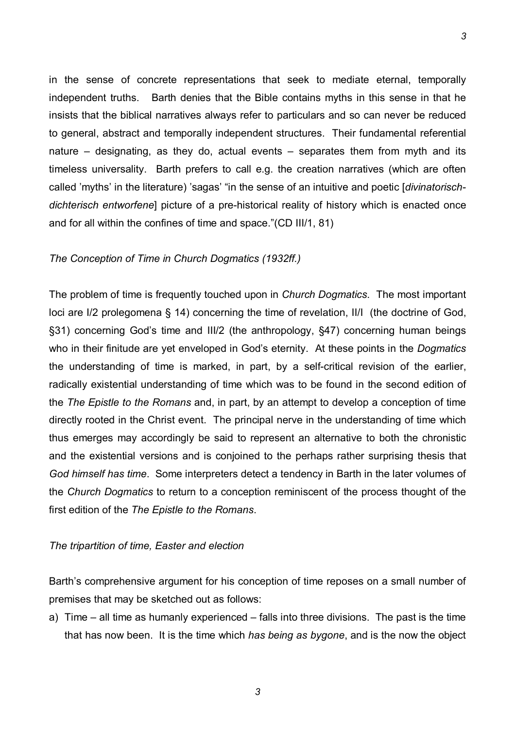in the sense of concrete representations that seek to mediate eternal, temporally independent truths. Barth denies that the Bible contains myths in this sense in that he insists that the biblical narratives always refer to particulars and so can never be reduced to general, abstract and temporally independent structures. Their fundamental referential nature  $-$  designating, as they do, actual events  $-$  separates them from myth and its timeless universality. Barth prefers to call e.g. the creation narratives (which are often called 'myths' in the literature) 'sagas' "in the sense of an intuitive and poetic [*divinatorischdichterisch entworfene*] picture of a pre-historical reality of history which is enacted once and for all within the confines of time and space."(CD III/1, 81)

# *The Conception of Time in Church Dogmatics (1932ff.)*

The problem of time is frequently touched upon in *Church Dogmatics*. The most important loci are I/2 prolegomena § 14) concerning the time of revelation, II/I (the doctrine of God, ß31) concerning Godís time and III/2 (the anthropology, ß47) concerning human beings who in their finitude are yet enveloped in God's eternity. At these points in the *Dogmatics* the understanding of time is marked, in part, by a self-critical revision of the earlier, radically existential understanding of time which was to be found in the second edition of the *The Epistle to the Romans* and, in part, by an attempt to develop a conception of time directly rooted in the Christ event. The principal nerve in the understanding of time which thus emerges may accordingly be said to represent an alternative to both the chronistic and the existential versions and is conjoined to the perhaps rather surprising thesis that *God himself has time*. Some interpreters detect a tendency in Barth in the later volumes of the *Church Dogmatics* to return to a conception reminiscent of the process thought of the first edition of the *The Epistle to the Romans*.

# *The tripartition of time, Easter and election*

Barth's comprehensive argument for his conception of time reposes on a small number of premises that may be sketched out as follows:

a) Time  $-$  all time as humanly experienced  $-$  falls into three divisions. The past is the time that has now been. It is the time which *has being as bygone*, and is the now the object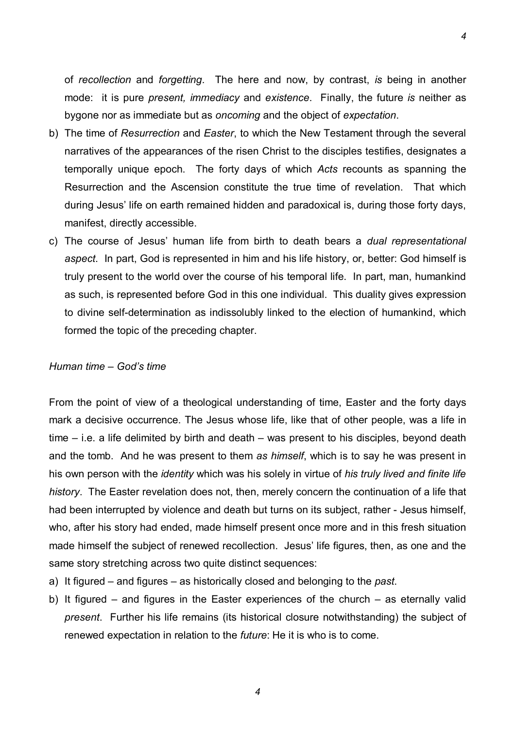of *recollection* and *forgetting*. The here and now, by contrast, *is* being in another mode: it is pure *present, immediacy* and *existence*. Finally, the future *is* neither as bygone nor as immediate but as *oncoming* and the object of *expectation*.

- b) The time of *Resurrection* and *Easter*, to which the New Testament through the several narratives of the appearances of the risen Christ to the disciples testifies, designates a temporally unique epoch. The forty days of which *Acts* recounts as spanning the Resurrection and the Ascension constitute the true time of revelation. That which during Jesus' life on earth remained hidden and paradoxical is, during those forty days, manifest, directly accessible.
- c) The course of Jesusí human life from birth to death bears a *dual representational aspect*. In part, God is represented in him and his life history, or, better: God himself is truly present to the world over the course of his temporal life. In part, man, humankind as such, is represented before God in this one individual. This duality gives expression to divine self-determination as indissolubly linked to the election of humankind, which formed the topic of the preceding chapter.

### *Human time – God's time*

From the point of view of a theological understanding of time, Easter and the forty days mark a decisive occurrence. The Jesus whose life, like that of other people, was a life in time  $-$  i.e. a life delimited by birth and death  $-$  was present to his disciples, beyond death and the tomb. And he was present to them *as himself*, which is to say he was present in his own person with the *identity* which was his solely in virtue of *his truly lived and finite life history*. The Easter revelation does not, then, merely concern the continuation of a life that had been interrupted by violence and death but turns on its subject, rather - Jesus himself, who, after his story had ended, made himself present once more and in this fresh situation made himself the subject of renewed recollection. Jesus' life figures, then, as one and the same story stretching across two quite distinct sequences:

- a) It figured and figures as historically closed and belonging to the *past*.
- b) It figured  $-$  and figures in the Easter experiences of the church  $-$  as eternally valid *present*. Further his life remains (its historical closure notwithstanding) the subject of renewed expectation in relation to the *future*: He it is who is to come.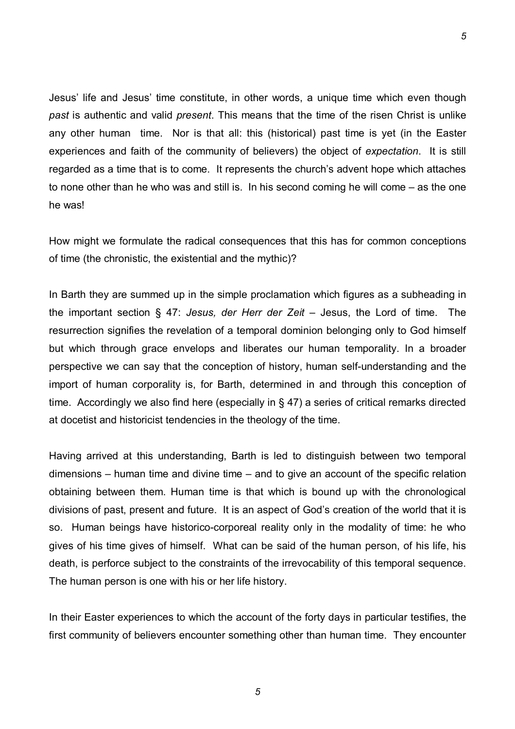Jesus' life and Jesus' time constitute, in other words, a unique time which even though *past* is authentic and valid *present*. This means that the time of the risen Christ is unlike any other human time. Nor is that all: this (historical) past time is yet (in the Easter experiences and faith of the community of believers) the object of *expectation*. It is still regarded as a time that is to come. It represents the church's advent hope which attaches to none other than he who was and still is. In his second coming he will come  $-$  as the one he was!

How might we formulate the radical consequences that this has for common conceptions of time (the chronistic, the existential and the mythic)?

In Barth they are summed up in the simple proclamation which figures as a subheading in the important section § 47: *Jesus, der Herr der Zeit* – Jesus, the Lord of time. The resurrection signifies the revelation of a temporal dominion belonging only to God himself but which through grace envelops and liberates our human temporality. In a broader perspective we can say that the conception of history, human self-understanding and the import of human corporality is, for Barth, determined in and through this conception of time. Accordingly we also find here (especially in § 47) a series of critical remarks directed at docetist and historicist tendencies in the theology of the time.

Having arrived at this understanding, Barth is led to distinguish between two temporal dimensions  $-$  human time and divine time  $-$  and to give an account of the specific relation obtaining between them. Human time is that which is bound up with the chronological divisions of past, present and future. It is an aspect of God's creation of the world that it is so. Human beings have historico-corporeal reality only in the modality of time: he who gives of his time gives of himself. What can be said of the human person, of his life, his death, is perforce subject to the constraints of the irrevocability of this temporal sequence. The human person is one with his or her life history.

In their Easter experiences to which the account of the forty days in particular testifies, the first community of believers encounter something other than human time. They encounter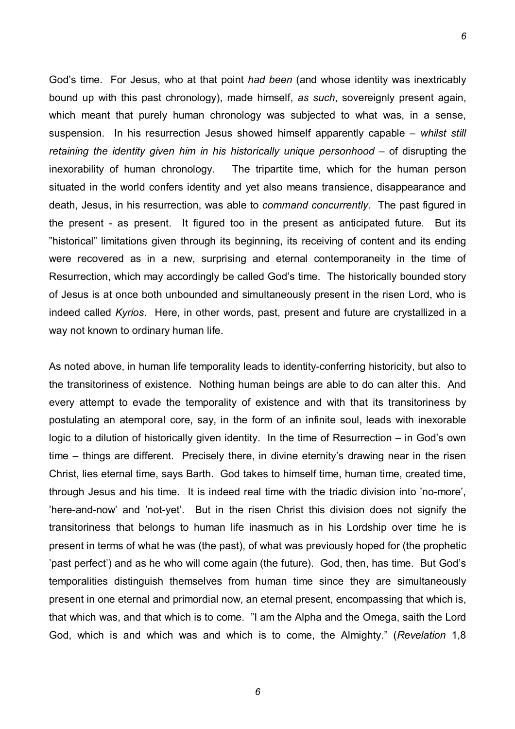Godís time. For Jesus, who at that point *had been* (and whose identity was inextricably bound up with this past chronology), made himself, *as such*, sovereignly present again, which meant that purely human chronology was subjected to what was, in a sense, suspension. In his resurrection Jesus showed himself apparently capable – *whilst still retaining the identity given him in his historically unique personhood – of disrupting the* inexorability of human chronology. The tripartite time, which for the human person situated in the world confers identity and yet also means transience, disappearance and death, Jesus, in his resurrection, was able to *command concurrently*. The past figured in the present - as present. It figured too in the present as anticipated future. But its îhistoricalî limitations given through its beginning, its receiving of content and its ending were recovered as in a new, surprising and eternal contemporaneity in the time of Resurrection, which may accordingly be called God's time. The historically bounded story of Jesus is at once both unbounded and simultaneously present in the risen Lord, who is indeed called *Kyrios*. Here, in other words, past, present and future are crystallized in a way not known to ordinary human life.

*6*

As noted above, in human life temporality leads to identity-conferring historicity, but also to the transitoriness of existence. Nothing human beings are able to do can alter this. And every attempt to evade the temporality of existence and with that its transitoriness by postulating an atemporal core, say, in the form of an infinite soul, leads with inexorable logic to a dilution of historically given identity. In the time of Resurrection  $-$  in God's own time – things are different. Precisely there, in divine eternity's drawing near in the risen Christ, lies eternal time, says Barth. God takes to himself time, human time, created time, through Jesus and his time. It is indeed real time with the triadic division into 'no-more', íhere-and-nowí and ínot-yetí. But in the risen Christ this division does not signify the transitoriness that belongs to human life inasmuch as in his Lordship over time he is present in terms of what he was (the past), of what was previously hoped for (the prophetic ipast perfect') and as he who will come again (the future). God, then, has time. But God's temporalities distinguish themselves from human time since they are simultaneously present in one eternal and primordial now, an eternal present, encompassing that which is, that which was, and that which is to come. "I am the Alpha and the Omega, saith the Lord God, which is and which was and which is to come, the Almighty.î (*Revelation* 1,8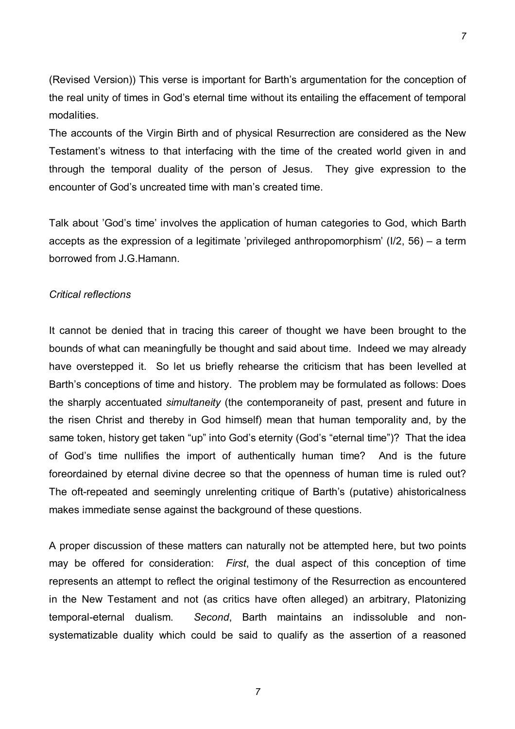(Revised Version)) This verse is important for Barth's argumentation for the conception of the real unity of times in God's eternal time without its entailing the effacement of temporal modalities.

The accounts of the Virgin Birth and of physical Resurrection are considered as the New Testament's witness to that interfacing with the time of the created world given in and through the temporal duality of the person of Jesus. They give expression to the encounter of God's uncreated time with man's created time.

Talk about 'God's time' involves the application of human categories to God, which Barth accepts as the expression of a legitimate 'privileged anthropomorphism' ( $1/2$ , 56) – a term borrowed from J.G.Hamann.

### *Critical reflections*

It cannot be denied that in tracing this career of thought we have been brought to the bounds of what can meaningfully be thought and said about time. Indeed we may already have overstepped it. So let us briefly rehearse the criticism that has been levelled at Barth's conceptions of time and history. The problem may be formulated as follows: Does the sharply accentuated *simultaneity* (the contemporaneity of past, present and future in the risen Christ and thereby in God himself) mean that human temporality and, by the same token, history get taken "up" into God's eternity (God's "eternal time")? That the idea of God's time nullifies the import of authentically human time? And is the future foreordained by eternal divine decree so that the openness of human time is ruled out? The oft-repeated and seemingly unrelenting critique of Barth's (putative) ahistoricalness makes immediate sense against the background of these questions.

A proper discussion of these matters can naturally not be attempted here, but two points may be offered for consideration: *First*, the dual aspect of this conception of time represents an attempt to reflect the original testimony of the Resurrection as encountered in the New Testament and not (as critics have often alleged) an arbitrary, Platonizing temporal-eternal dualism. *Second*, Barth maintains an indissoluble and nonsystematizable duality which could be said to qualify as the assertion of a reasoned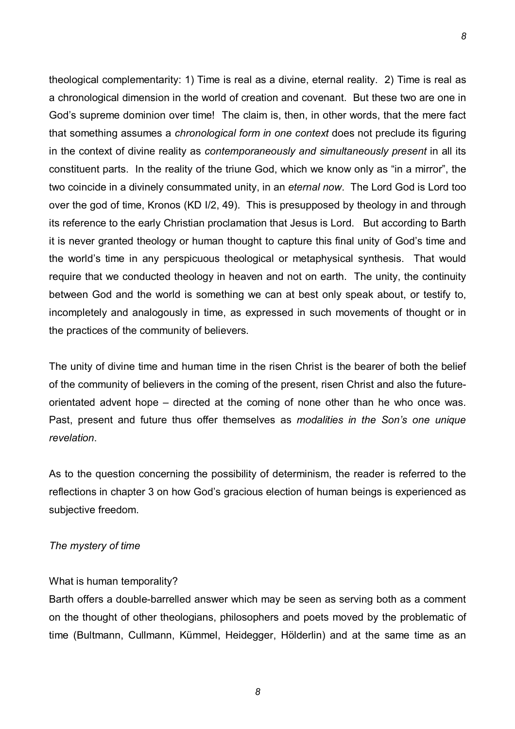theological complementarity: 1) Time is real as a divine, eternal reality. 2) Time is real as a chronological dimension in the world of creation and covenant. But these two are one in God's supreme dominion over time! The claim is, then, in other words, that the mere fact that something assumes a *chronological form in one context* does not preclude its figuring in the context of divine reality as *contemporaneously and simultaneously present* in all its constituent parts. In the reality of the triune God, which we know only as "in a mirror", the two coincide in a divinely consummated unity, in an *eternal now*. The Lord God is Lord too over the god of time, Kronos (KD I/2, 49). This is presupposed by theology in and through its reference to the early Christian proclamation that Jesus is Lord. But according to Barth it is never granted theology or human thought to capture this final unity of God's time and the world's time in any perspicuous theological or metaphysical synthesis. That would require that we conducted theology in heaven and not on earth. The unity, the continuity between God and the world is something we can at best only speak about, or testify to, incompletely and analogously in time, as expressed in such movements of thought or in the practices of the community of believers.

*8*

The unity of divine time and human time in the risen Christ is the bearer of both the belief of the community of believers in the coming of the present, risen Christ and also the futureorientated advent hope  $-$  directed at the coming of none other than he who once was. Past, present and future thus offer themselves as *modalities in the Sonís one unique revelation*.

As to the question concerning the possibility of determinism, the reader is referred to the reflections in chapter 3 on how God's gracious election of human beings is experienced as subjective freedom.

# *The mystery of time*

# What is human temporality?

Barth offers a double-barrelled answer which may be seen as serving both as a comment on the thought of other theologians, philosophers and poets moved by the problematic of time (Bultmann, Cullmann, Kümmel, Heidegger, Hölderlin) and at the same time as an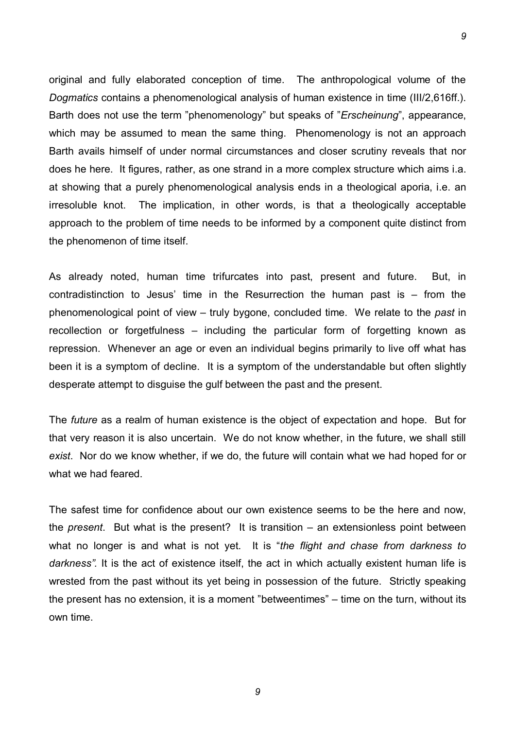original and fully elaborated conception of time. The anthropological volume of the *Dogmatics* contains a phenomenological analysis of human existence in time (III/2,616ff.). Barth does not use the term "phenomenology" but speaks of "*Erscheinung*", appearance, which may be assumed to mean the same thing. Phenomenology is not an approach Barth avails himself of under normal circumstances and closer scrutiny reveals that nor does he here. It figures, rather, as one strand in a more complex structure which aims i.a. at showing that a purely phenomenological analysis ends in a theological aporia, i.e. an irresoluble knot. The implication, in other words, is that a theologically acceptable approach to the problem of time needs to be informed by a component quite distinct from the phenomenon of time itself.

*9*

As already noted, human time trifurcates into past, present and future. But, in contradistinction to Jesus' time in the Resurrection the human past is  $-$  from the phenomenological point of view – truly bygone, concluded time. We relate to the *past* in recollection or forgetfulness  $-$  including the particular form of forgetting known as repression. Whenever an age or even an individual begins primarily to live off what has been it is a symptom of decline. It is a symptom of the understandable but often slightly desperate attempt to disguise the gulf between the past and the present.

The *future* as a realm of human existence is the object of expectation and hope. But for that very reason it is also uncertain. We do not know whether, in the future, we shall still *exist*. Nor do we know whether, if we do, the future will contain what we had hoped for or what we had feared.

The safest time for confidence about our own existence seems to be the here and now, the *present*. But what is the present? It is transition – an extensionless point between what no longer is and what is not yet. It is *"the flight and chase from darkness to darknessî.* It is the act of existence itself, the act in which actually existent human life is wrested from the past without its yet being in possession of the future. Strictly speaking the present has no extension, it is a moment "betweentimes"  $-$  time on the turn, without its own time.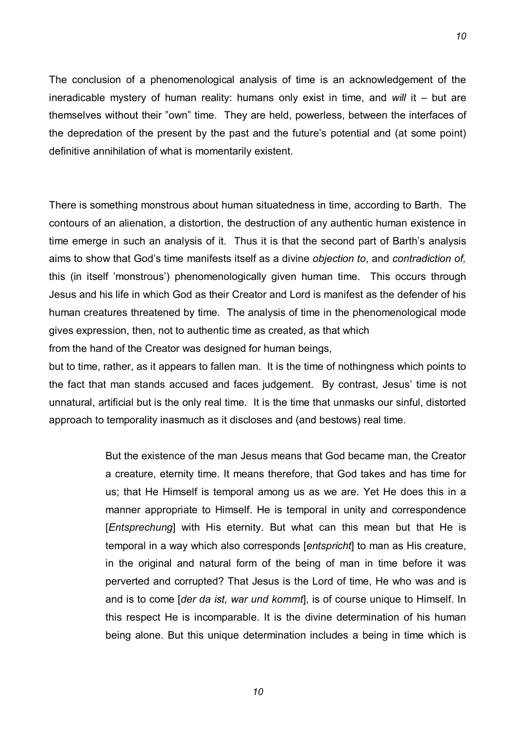The conclusion of a phenomenological analysis of time is an acknowledgement of the ineradicable mystery of human reality: humans only exist in time, and *will* it – but are themselves without their "own" time. They are held, powerless, between the interfaces of the depredation of the present by the past and the future's potential and (at some point) definitive annihilation of what is momentarily existent.

There is something monstrous about human situatedness in time, according to Barth. The contours of an alienation, a distortion, the destruction of any authentic human existence in time emerge in such an analysis of it. Thus it is that the second part of Barth's analysis aims to show that Godís time manifests itself as a divine *objection to*, and *contradiction of,* this (in itself 'monstrous') phenomenologically given human time. This occurs through Jesus and his life in which God as their Creator and Lord is manifest as the defender of his human creatures threatened by time. The analysis of time in the phenomenological mode gives expression, then, not to authentic time as created, as that which

from the hand of the Creator was designed for human beings,

but to time, rather, as it appears to fallen man. It is the time of nothingness which points to the fact that man stands accused and faces judgement. By contrast, Jesus' time is not unnatural, artificial but is the only real time. It is the time that unmasks our sinful, distorted approach to temporality inasmuch as it discloses and (and bestows) real time.

> But the existence of the man Jesus means that God became man, the Creator a creature, eternity time. It means therefore, that God takes and has time for us; that He Himself is temporal among us as we are. Yet He does this in a manner appropriate to Himself. He is temporal in unity and correspondence [*Entsprechung*] with His eternity. But what can this mean but that He is temporal in a way which also corresponds [*entspricht*] to man as His creature, in the original and natural form of the being of man in time before it was perverted and corrupted? That Jesus is the Lord of time, He who was and is and is to come [*der da ist, war und kommt*], is of course unique to Himself. In this respect He is incomparable. It is the divine determination of his human being alone. But this unique determination includes a being in time which is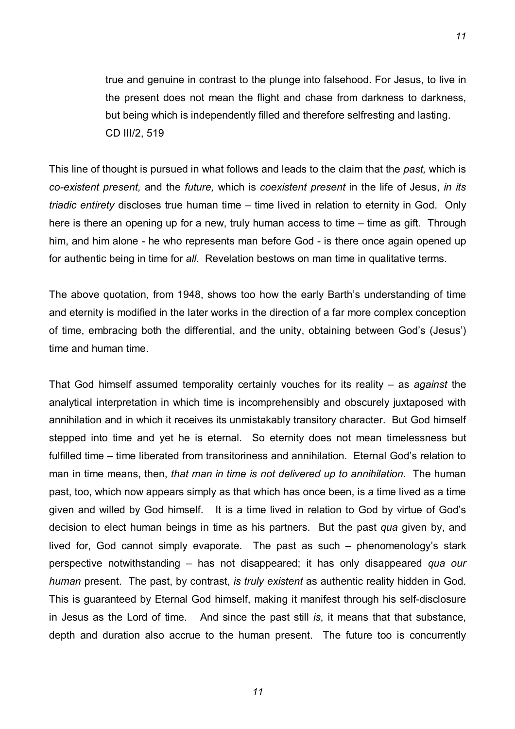true and genuine in contrast to the plunge into falsehood. For Jesus, to live in the present does not mean the flight and chase from darkness to darkness, but being which is independently filled and therefore selfresting and lasting. CD III/2, 519

*11*

This line of thought is pursued in what follows and leads to the claim that the *past,* which is *co-existent present,* and the *future,* which is *coexistent present* in the life of Jesus, *in its triadic entirety* discloses true human time – time lived in relation to eternity in God. Only here is there an opening up for a new, truly human access to time  $-$  time as gift. Through him, and him alone - he who represents man before God - is there once again opened up for authentic being in time for *all*. Revelation bestows on man time in qualitative terms.

The above quotation, from 1948, shows too how the early Barth's understanding of time and eternity is modified in the later works in the direction of a far more complex conception of time, embracing both the differential, and the unity, obtaining between God's (Jesus') time and human time.

That God himself assumed temporality certainly vouches for its reality – as *against* the analytical interpretation in which time is incomprehensibly and obscurely juxtaposed with annihilation and in which it receives its unmistakably transitory character. But God himself stepped into time and yet he is eternal. So eternity does not mean timelessness but fulfilled time – time liberated from transitoriness and annihilation. Eternal God's relation to man in time means, then, *that man in time is not delivered up to annihilation*. The human past, too, which now appears simply as that which has once been, is a time lived as a time given and willed by God himself. It is a time lived in relation to God by virtue of Godís decision to elect human beings in time as his partners. But the past *qua* given by, and lived for, God cannot simply evaporate. The past as such  $-$  phenomenology's stark perspective notwithstanding ñ has not disappeared; it has only disappeared *qua our human* present. The past, by contrast, *is truly existent* as authentic reality hidden in God. This is guaranteed by Eternal God himself, making it manifest through his self-disclosure in Jesus as the Lord of time. And since the past still *is*, it means that that substance, depth and duration also accrue to the human present. The future too is concurrently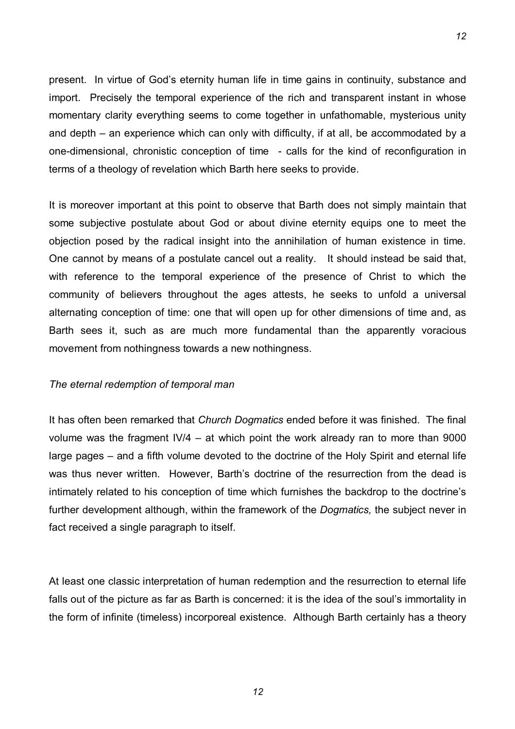present. In virtue of God's eternity human life in time gains in continuity, substance and import. Precisely the temporal experience of the rich and transparent instant in whose momentary clarity everything seems to come together in unfathomable, mysterious unity and depth  $-$  an experience which can only with difficulty, if at all, be accommodated by a one-dimensional, chronistic conception of time - calls for the kind of reconfiguration in terms of a theology of revelation which Barth here seeks to provide.

*12*

It is moreover important at this point to observe that Barth does not simply maintain that some subjective postulate about God or about divine eternity equips one to meet the objection posed by the radical insight into the annihilation of human existence in time. One cannot by means of a postulate cancel out a reality. It should instead be said that, with reference to the temporal experience of the presence of Christ to which the community of believers throughout the ages attests, he seeks to unfold a universal alternating conception of time: one that will open up for other dimensions of time and, as Barth sees it, such as are much more fundamental than the apparently voracious movement from nothingness towards a new nothingness.

### *The eternal redemption of temporal man*

It has often been remarked that *Church Dogmatics* ended before it was finished. The final volume was the fragment  $\frac{1}{4} - at$  which point the work already ran to more than 9000 large pages – and a fifth volume devoted to the doctrine of the Holy Spirit and eternal life was thus never written. However, Barth's doctrine of the resurrection from the dead is intimately related to his conception of time which furnishes the backdrop to the doctrine's further development although, within the framework of the *Dogmatics,* the subject never in fact received a single paragraph to itself.

At least one classic interpretation of human redemption and the resurrection to eternal life falls out of the picture as far as Barth is concerned: it is the idea of the soul's immortality in the form of infinite (timeless) incorporeal existence. Although Barth certainly has a theory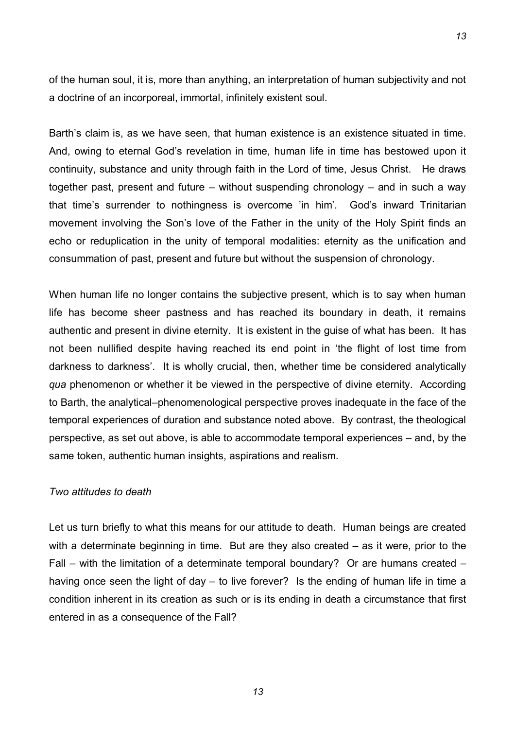of the human soul, it is, more than anything, an interpretation of human subjectivity and not a doctrine of an incorporeal, immortal, infinitely existent soul.

Barth's claim is, as we have seen, that human existence is an existence situated in time. And, owing to eternal God's revelation in time, human life in time has bestowed upon it continuity, substance and unity through faith in the Lord of time, Jesus Christ. He draws together past, present and future  $-$  without suspending chronology  $-$  and in such a way that time's surrender to nothingness is overcome 'in him'. God's inward Trinitarian movement involving the Son's love of the Father in the unity of the Holy Spirit finds an echo or reduplication in the unity of temporal modalities: eternity as the unification and consummation of past, present and future but without the suspension of chronology.

When human life no longer contains the subjective present, which is to say when human life has become sheer pastness and has reached its boundary in death, it remains authentic and present in divine eternity. It is existent in the guise of what has been. It has not been nullified despite having reached its end point in 'the flight of lost time from darkness to darkness'. It is wholly crucial, then, whether time be considered analytically *qua* phenomenon or whether it be viewed in the perspective of divine eternity. According to Barth, the analytical–phenomenological perspective proves inadequate in the face of the temporal experiences of duration and substance noted above. By contrast, the theological perspective, as set out above, is able to accommodate temporal experiences – and, by the same token, authentic human insights, aspirations and realism.

# *Two attitudes to death*

Let us turn briefly to what this means for our attitude to death. Human beings are created with a determinate beginning in time. But are they also created  $-$  as it were, prior to the Fall  $-$  with the limitation of a determinate temporal boundary? Or are humans created  $$ having once seen the light of day  $-$  to live forever? Is the ending of human life in time a condition inherent in its creation as such or is its ending in death a circumstance that first entered in as a consequence of the Fall?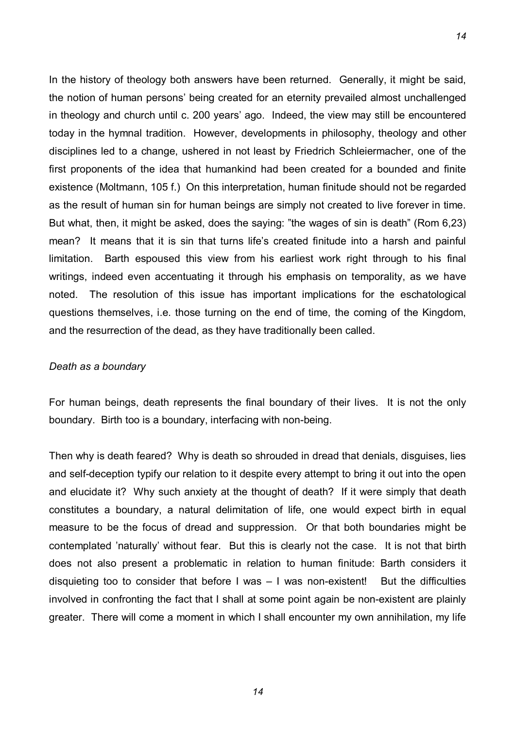In the history of theology both answers have been returned. Generally, it might be said, the notion of human persons' being created for an eternity prevailed almost unchallenged in theology and church until c. 200 years' ago. Indeed, the view may still be encountered today in the hymnal tradition. However, developments in philosophy, theology and other disciplines led to a change, ushered in not least by Friedrich Schleiermacher, one of the first proponents of the idea that humankind had been created for a bounded and finite existence (Moltmann, 105 f.) On this interpretation, human finitude should not be regarded as the result of human sin for human beings are simply not created to live forever in time. But what, then, it might be asked, does the saying: "the wages of sin is death" (Rom 6,23) mean? It means that it is sin that turns life's created finitude into a harsh and painful limitation. Barth espoused this view from his earliest work right through to his final writings, indeed even accentuating it through his emphasis on temporality, as we have noted. The resolution of this issue has important implications for the eschatological questions themselves, i.e. those turning on the end of time, the coming of the Kingdom, and the resurrection of the dead, as they have traditionally been called.

## *Death as a boundary*

For human beings, death represents the final boundary of their lives. It is not the only boundary. Birth too is a boundary, interfacing with non-being.

Then why is death feared? Why is death so shrouded in dread that denials, disguises, lies and self-deception typify our relation to it despite every attempt to bring it out into the open and elucidate it? Why such anxiety at the thought of death? If it were simply that death constitutes a boundary, a natural delimitation of life, one would expect birth in equal measure to be the focus of dread and suppression. Or that both boundaries might be contemplated 'naturally' without fear. But this is clearly not the case. It is not that birth does not also present a problematic in relation to human finitude: Barth considers it disquieting too to consider that before  $I$  was  $-I$  was non-existent! But the difficulties involved in confronting the fact that I shall at some point again be non-existent are plainly greater. There will come a moment in which I shall encounter my own annihilation, my life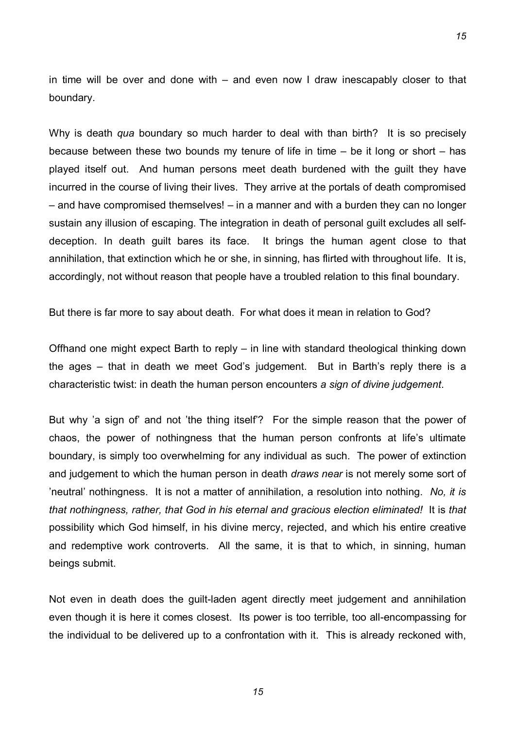in time will be over and done with  $-$  and even now I draw inescapably closer to that boundary.

*15*

Why is death *qua* boundary so much harder to deal with than birth? It is so precisely because between these two bounds my tenure of life in time  $-$  be it long or short  $-$  has played itself out. And human persons meet death burdened with the guilt they have incurred in the course of living their lives. They arrive at the portals of death compromised  $-$  and have compromised themselves!  $-$  in a manner and with a burden they can no longer sustain any illusion of escaping. The integration in death of personal guilt excludes all selfdeception. In death guilt bares its face. It brings the human agent close to that annihilation, that extinction which he or she, in sinning, has flirted with throughout life. It is, accordingly, not without reason that people have a troubled relation to this final boundary.

But there is far more to say about death. For what does it mean in relation to God?

Offhand one might expect Barth to reply  $-$  in line with standard theological thinking down the ages – that in death we meet God's judgement. But in Barth's reply there is a characteristic twist: in death the human person encounters *a sign of divine judgement*.

But why 'a sign of' and not 'the thing itself'? For the simple reason that the power of chaos, the power of nothingness that the human person confronts at life's ultimate boundary, is simply too overwhelming for any individual as such. The power of extinction and judgement to which the human person in death *draws near* is not merely some sort of íneutralí nothingness. It is not a matter of annihilation, a resolution into nothing. *No, it is that nothingness, rather, that God in his eternal and gracious election eliminated!* It is *that* possibility which God himself, in his divine mercy, rejected, and which his entire creative and redemptive work controverts. All the same, it is that to which, in sinning, human beings submit.

Not even in death does the guilt-laden agent directly meet judgement and annihilation even though it is here it comes closest. Its power is too terrible, too all-encompassing for the individual to be delivered up to a confrontation with it. This is already reckoned with,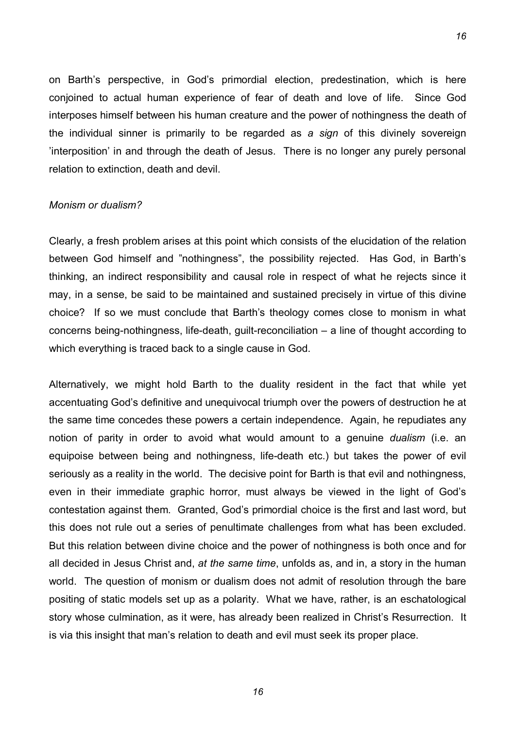on Barth's perspective, in God's primordial election, predestination, which is here conjoined to actual human experience of fear of death and love of life. Since God interposes himself between his human creature and the power of nothingness the death of the individual sinner is primarily to be regarded as *a sign* of this divinely sovereign interposition' in and through the death of Jesus. There is no longer any purely personal relation to extinction, death and devil.

*16*

#### *Monism or dualism?*

Clearly, a fresh problem arises at this point which consists of the elucidation of the relation between God himself and "nothingness", the possibility rejected. Has God, in Barth's thinking, an indirect responsibility and causal role in respect of what he rejects since it may, in a sense, be said to be maintained and sustained precisely in virtue of this divine choice? If so we must conclude that Barth's theology comes close to monism in what concerns being-nothingness, life-death, guilt-reconciliation  $-$  a line of thought according to which everything is traced back to a single cause in God.

Alternatively, we might hold Barth to the duality resident in the fact that while yet accentuating God's definitive and unequivocal triumph over the powers of destruction he at the same time concedes these powers a certain independence. Again, he repudiates any notion of parity in order to avoid what would amount to a genuine *dualism* (i.e. an equipoise between being and nothingness, life-death etc.) but takes the power of evil seriously as a reality in the world. The decisive point for Barth is that evil and nothingness, even in their immediate graphic horror, must always be viewed in the light of God's contestation against them. Granted, God's primordial choice is the first and last word, but this does not rule out a series of penultimate challenges from what has been excluded. But this relation between divine choice and the power of nothingness is both once and for all decided in Jesus Christ and, *at the same time*, unfolds as, and in, a story in the human world. The question of monism or dualism does not admit of resolution through the bare positing of static models set up as a polarity. What we have, rather, is an eschatological story whose culmination, as it were, has already been realized in Christ's Resurrection. It is via this insight that man's relation to death and evil must seek its proper place.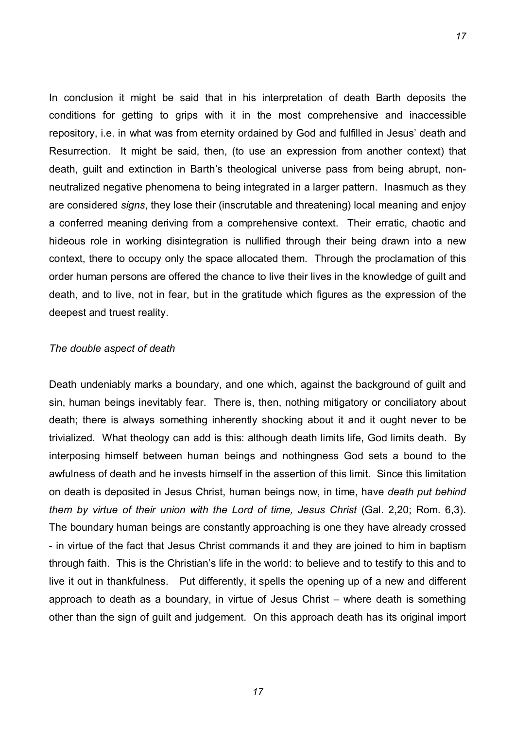In conclusion it might be said that in his interpretation of death Barth deposits the conditions for getting to grips with it in the most comprehensive and inaccessible repository, i.e. in what was from eternity ordained by God and fulfilled in Jesus' death and Resurrection. It might be said, then, (to use an expression from another context) that death, quilt and extinction in Barth's theological universe pass from being abrupt, nonneutralized negative phenomena to being integrated in a larger pattern. Inasmuch as they are considered *signs*, they lose their (inscrutable and threatening) local meaning and enjoy a conferred meaning deriving from a comprehensive context. Their erratic, chaotic and hideous role in working disintegration is nullified through their being drawn into a new context, there to occupy only the space allocated them. Through the proclamation of this order human persons are offered the chance to live their lives in the knowledge of guilt and death, and to live, not in fear, but in the gratitude which figures as the expression of the deepest and truest reality.

#### *The double aspect of death*

Death undeniably marks a boundary, and one which, against the background of guilt and sin, human beings inevitably fear. There is, then, nothing mitigatory or conciliatory about death; there is always something inherently shocking about it and it ought never to be trivialized. What theology can add is this: although death limits life, God limits death. By interposing himself between human beings and nothingness God sets a bound to the awfulness of death and he invests himself in the assertion of this limit. Since this limitation on death is deposited in Jesus Christ, human beings now, in time, have *death put behind them by virtue of their union with the Lord of time, Jesus Christ* (Gal. 2,20; Rom. 6,3). The boundary human beings are constantly approaching is one they have already crossed - in virtue of the fact that Jesus Christ commands it and they are joined to him in baptism through faith. This is the Christian's life in the world: to believe and to testify to this and to live it out in thankfulness. Put differently, it spells the opening up of a new and different approach to death as a boundary, in virtue of Jesus Christ  $-$  where death is something other than the sign of guilt and judgement. On this approach death has its original import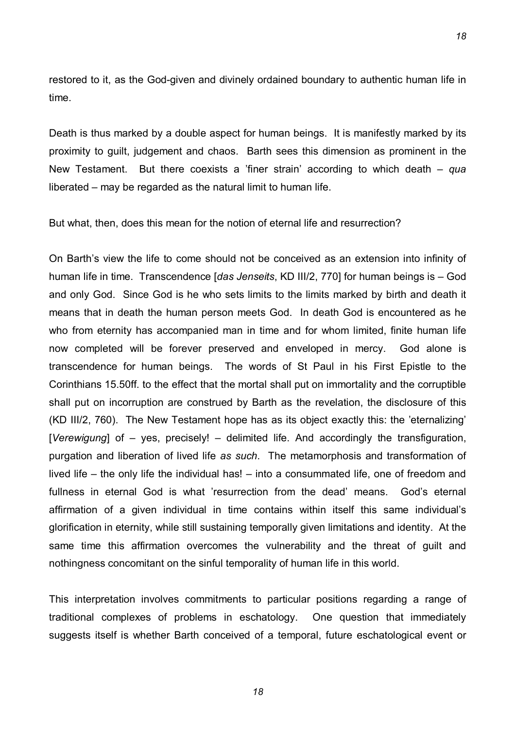restored to it, as the God-given and divinely ordained boundary to authentic human life in time.

Death is thus marked by a double aspect for human beings. It is manifestly marked by its proximity to guilt, judgement and chaos. Barth sees this dimension as prominent in the New Testament. But there coexists a 'finer strain' according to which death – *qua* liberated – may be regarded as the natural limit to human life.

But what, then, does this mean for the notion of eternal life and resurrection?

On Barth's view the life to come should not be conceived as an extension into infinity of human life in time. Transcendence [*das Jenseits*, KD III/2, 770] for human beings is ñ God and only God. Since God is he who sets limits to the limits marked by birth and death it means that in death the human person meets God. In death God is encountered as he who from eternity has accompanied man in time and for whom limited, finite human life now completed will be forever preserved and enveloped in mercy. God alone is transcendence for human beings. The words of St Paul in his First Epistle to the Corinthians 15.50ff. to the effect that the mortal shall put on immortality and the corruptible shall put on incorruption are construed by Barth as the revelation, the disclosure of this (KD III/2, 760). The New Testament hope has as its object exactly this: the 'eternalizing' [*Verewigung*] of – yes, precisely! – delimited life. And accordingly the transfiguration, purgation and liberation of lived life *as such*. The metamorphosis and transformation of lived life  $-$  the only life the individual has!  $-$  into a consummated life, one of freedom and fullness in eternal God is what 'resurrection from the dead' means. God's eternal affirmation of a given individual in time contains within itself this same individual's glorification in eternity, while still sustaining temporally given limitations and identity. At the same time this affirmation overcomes the vulnerability and the threat of guilt and nothingness concomitant on the sinful temporality of human life in this world.

This interpretation involves commitments to particular positions regarding a range of traditional complexes of problems in eschatology. One question that immediately suggests itself is whether Barth conceived of a temporal, future eschatological event or